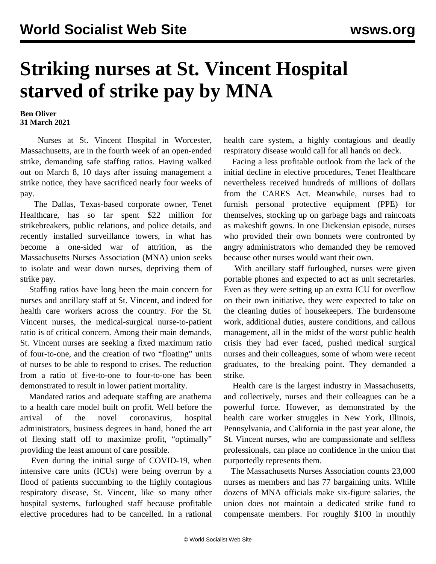## **Striking nurses at St. Vincent Hospital starved of strike pay by MNA**

## **Ben Oliver 31 March 2021**

 Nurses at St. Vincent Hospital in Worcester, Massachusetts, are in the fourth week of an open-ended strike, demanding safe staffing ratios. Having walked out on March 8, 10 days after issuing management a strike notice, they have sacrificed nearly four weeks of pay.

 The Dallas, Texas-based corporate owner, Tenet Healthcare, has so far spent \$22 million for strikebreakers, public relations, and police details, and recently installed surveillance towers, in what has become a one-sided war of attrition, as the Massachusetts Nurses Association (MNA) union seeks to isolate and wear down nurses, depriving them of strike pay.

 Staffing ratios have long been the main concern for nurses and ancillary staff at St. Vincent, and indeed for health care workers across the country. For the St. Vincent nurses, the medical-surgical nurse-to-patient ratio is of critical concern. Among their main demands, St. Vincent nurses are seeking a fixed maximum ratio of four-to-one, and the creation of two "floating" units of nurses to be able to respond to crises. The reduction from a ratio of five-to-one to four-to-one has been demonstrated to result in lower patient mortality.

 Mandated ratios and adequate staffing are anathema to a health care model built on profit. Well before the arrival of the novel coronavirus, hospital administrators, business degrees in hand, honed the art of flexing staff off to maximize profit, "optimally" providing the least amount of care possible.

 Even during the initial surge of COVID-19, when intensive care units (ICUs) were being overrun by a flood of patients succumbing to the highly contagious respiratory disease, St. Vincent, like so many other hospital systems, furloughed staff because profitable elective procedures had to be cancelled. In a rational health care system, a highly contagious and deadly respiratory disease would call for all hands on deck.

 Facing a less profitable outlook from the lack of the initial decline in elective procedures, Tenet Healthcare nevertheless received hundreds of millions of dollars from the CARES Act. Meanwhile, nurses had to furnish personal protective equipment (PPE) for themselves, stocking up on garbage bags and raincoats as makeshift gowns. In one Dickensian episode, nurses who provided their own bonnets were confronted by angry administrators who demanded they be removed because other nurses would want their own.

 With ancillary staff furloughed, nurses were given portable phones and expected to act as unit secretaries. Even as they were setting up an extra ICU for overflow on their own initiative, they were expected to take on the cleaning duties of housekeepers. The burdensome work, additional duties, austere conditions, and callous management, all in the midst of the worst public health crisis they had ever faced, pushed medical surgical nurses and their colleagues, some of whom were recent graduates, to the breaking point. They demanded a strike.

 Health care is the largest industry in Massachusetts, and collectively, nurses and their colleagues can be a powerful force. However, as demonstrated by the health care worker struggles in New York, Illinois, Pennsylvania, and California in the past year alone, the St. Vincent nurses, who are compassionate and selfless professionals, can place no confidence in the union that purportedly represents them.

 The Massachusetts Nurses Association counts 23,000 nurses as members and has 77 bargaining units. While dozens of MNA officials make six-figure salaries, the union does not maintain a dedicated strike fund to compensate members. For roughly \$100 in monthly